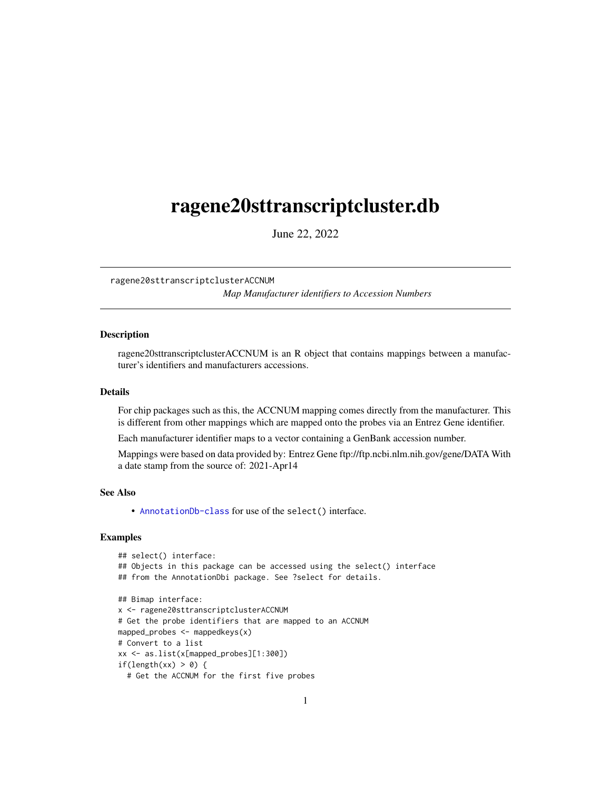## <span id="page-0-1"></span><span id="page-0-0"></span>ragene20sttranscriptcluster.db

June 22, 2022

ragene20sttranscriptclusterACCNUM

*Map Manufacturer identifiers to Accession Numbers*

## **Description**

ragene20sttranscriptclusterACCNUM is an R object that contains mappings between a manufacturer's identifiers and manufacturers accessions.

#### Details

For chip packages such as this, the ACCNUM mapping comes directly from the manufacturer. This is different from other mappings which are mapped onto the probes via an Entrez Gene identifier.

Each manufacturer identifier maps to a vector containing a GenBank accession number.

Mappings were based on data provided by: Entrez Gene ftp://ftp.ncbi.nlm.nih.gov/gene/DATA With a date stamp from the source of: 2021-Apr14

## See Also

• AnnotationDb-class for use of the select() interface.

```
## select() interface:
## Objects in this package can be accessed using the select() interface
## from the AnnotationDbi package. See ?select for details.
## Bimap interface:
x <- ragene20sttranscriptclusterACCNUM
# Get the probe identifiers that are mapped to an ACCNUM
mapped_probes <- mappedkeys(x)
# Convert to a list
xx <- as.list(x[mapped_probes][1:300])
if(length(xx) > 0) {
 # Get the ACCNUM for the first five probes
```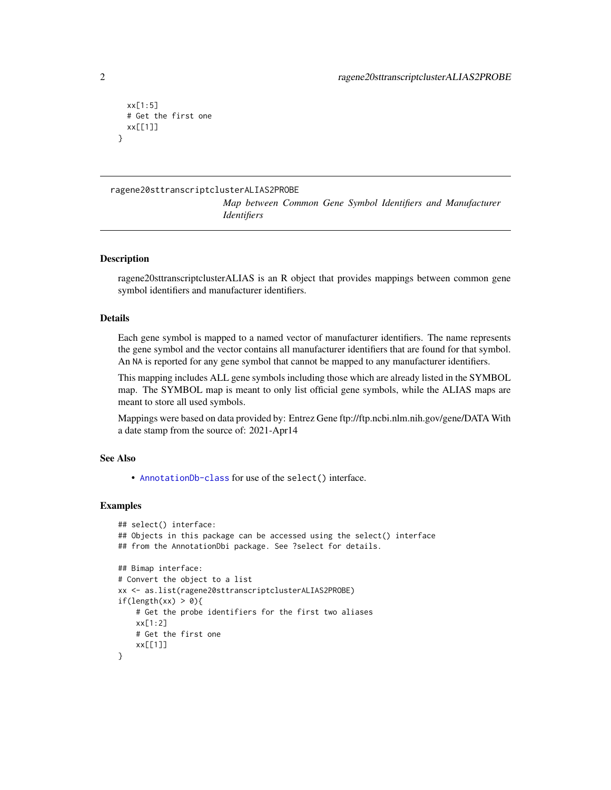```
xx[1:5]
 # Get the first one
 xx[[1]]
}
```
## ragene20sttranscriptclusterALIAS2PROBE

*Map between Common Gene Symbol Identifiers and Manufacturer Identifiers*

## **Description**

ragene20sttranscriptclusterALIAS is an R object that provides mappings between common gene symbol identifiers and manufacturer identifiers.

#### Details

Each gene symbol is mapped to a named vector of manufacturer identifiers. The name represents the gene symbol and the vector contains all manufacturer identifiers that are found for that symbol. An NA is reported for any gene symbol that cannot be mapped to any manufacturer identifiers.

This mapping includes ALL gene symbols including those which are already listed in the SYMBOL map. The SYMBOL map is meant to only list official gene symbols, while the ALIAS maps are meant to store all used symbols.

Mappings were based on data provided by: Entrez Gene ftp://ftp.ncbi.nlm.nih.gov/gene/DATA With a date stamp from the source of: 2021-Apr14

## See Also

• [AnnotationDb-class](#page-0-0) for use of the select() interface.

```
## select() interface:
## Objects in this package can be accessed using the select() interface
## from the AnnotationDbi package. See ?select for details.
## Bimap interface:
# Convert the object to a list
xx <- as.list(ragene20sttranscriptclusterALIAS2PROBE)
if(length(xx) > 0){
    # Get the probe identifiers for the first two aliases
   xx[1:2]
   # Get the first one
    xx[[1]]
}
```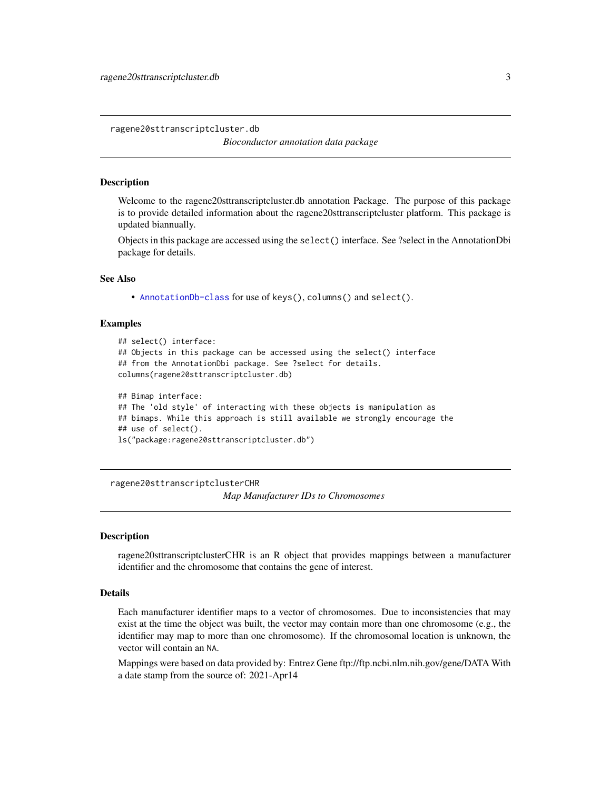<span id="page-2-0"></span>ragene20sttranscriptcluster.db

*Bioconductor annotation data package*

#### **Description**

Welcome to the ragene20sttranscriptcluster.db annotation Package. The purpose of this package is to provide detailed information about the ragene20sttranscriptcluster platform. This package is updated biannually.

Objects in this package are accessed using the select() interface. See ?select in the AnnotationDbi package for details.

#### See Also

• [AnnotationDb-class](#page-0-0) for use of keys(), columns() and select().

#### Examples

```
## select() interface:
## Objects in this package can be accessed using the select() interface
## from the AnnotationDbi package. See ?select for details.
columns(ragene20sttranscriptcluster.db)
## Bimap interface:
## The 'old style' of interacting with these objects is manipulation as
## bimaps. While this approach is still available we strongly encourage the
```
## use of select().

```
ls("package:ragene20sttranscriptcluster.db")
```
ragene20sttranscriptclusterCHR

*Map Manufacturer IDs to Chromosomes*

#### Description

ragene20sttranscriptclusterCHR is an R object that provides mappings between a manufacturer identifier and the chromosome that contains the gene of interest.

## Details

Each manufacturer identifier maps to a vector of chromosomes. Due to inconsistencies that may exist at the time the object was built, the vector may contain more than one chromosome (e.g., the identifier may map to more than one chromosome). If the chromosomal location is unknown, the vector will contain an NA.

Mappings were based on data provided by: Entrez Gene ftp://ftp.ncbi.nlm.nih.gov/gene/DATA With a date stamp from the source of: 2021-Apr14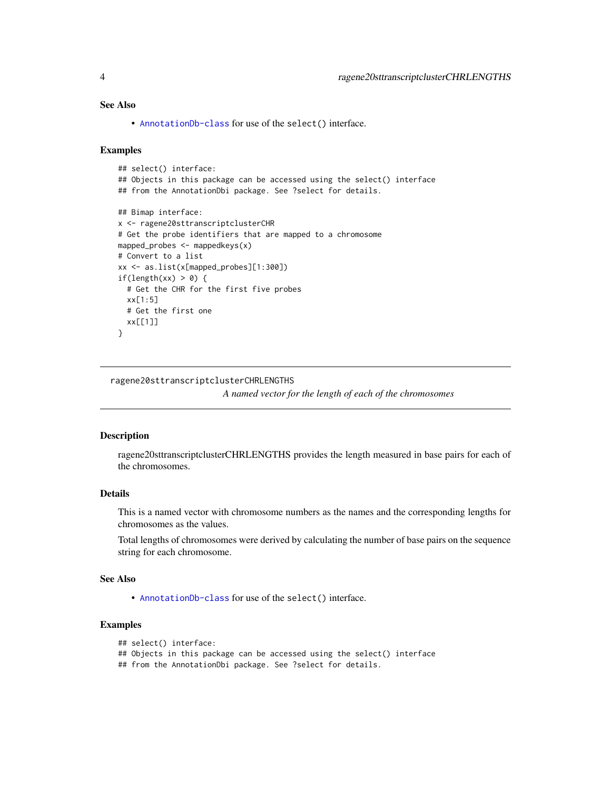## <span id="page-3-0"></span>See Also

• [AnnotationDb-class](#page-0-0) for use of the select() interface.

#### Examples

```
## select() interface:
## Objects in this package can be accessed using the select() interface
## from the AnnotationDbi package. See ?select for details.
## Bimap interface:
x <- ragene20sttranscriptclusterCHR
# Get the probe identifiers that are mapped to a chromosome
mapped_probes <- mappedkeys(x)
# Convert to a list
xx <- as.list(x[mapped_probes][1:300])
if(length(xx) > 0) {
  # Get the CHR for the first five probes
  xx[1:5]
  # Get the first one
  xx[[1]]
}
```
ragene20sttranscriptclusterCHRLENGTHS

*A named vector for the length of each of the chromosomes*

#### Description

ragene20sttranscriptclusterCHRLENGTHS provides the length measured in base pairs for each of the chromosomes.

## Details

This is a named vector with chromosome numbers as the names and the corresponding lengths for chromosomes as the values.

Total lengths of chromosomes were derived by calculating the number of base pairs on the sequence string for each chromosome.

#### See Also

• [AnnotationDb-class](#page-0-0) for use of the select() interface.

## Examples

```
## select() interface:
```

```
## Objects in this package can be accessed using the select() interface
```
## from the AnnotationDbi package. See ?select for details.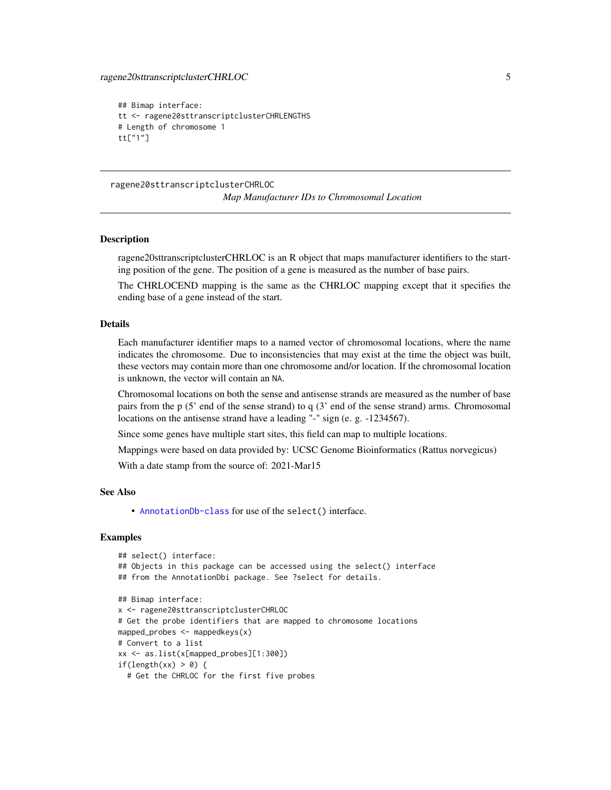```
## Bimap interface:
tt <- ragene20sttranscriptclusterCHRLENGTHS
# Length of chromosome 1
tt["1"]
```
ragene20sttranscriptclusterCHRLOC *Map Manufacturer IDs to Chromosomal Location*

#### **Description**

ragene20sttranscriptclusterCHRLOC is an R object that maps manufacturer identifiers to the starting position of the gene. The position of a gene is measured as the number of base pairs.

The CHRLOCEND mapping is the same as the CHRLOC mapping except that it specifies the ending base of a gene instead of the start.

## Details

Each manufacturer identifier maps to a named vector of chromosomal locations, where the name indicates the chromosome. Due to inconsistencies that may exist at the time the object was built, these vectors may contain more than one chromosome and/or location. If the chromosomal location is unknown, the vector will contain an NA.

Chromosomal locations on both the sense and antisense strands are measured as the number of base pairs from the p (5' end of the sense strand) to q (3' end of the sense strand) arms. Chromosomal locations on the antisense strand have a leading "-" sign (e. g. -1234567).

Since some genes have multiple start sites, this field can map to multiple locations.

Mappings were based on data provided by: UCSC Genome Bioinformatics (Rattus norvegicus)

With a date stamp from the source of: 2021-Mar15

#### See Also

• [AnnotationDb-class](#page-0-0) for use of the select() interface.

```
## select() interface:
## Objects in this package can be accessed using the select() interface
## from the AnnotationDbi package. See ?select for details.
## Bimap interface:
x <- ragene20sttranscriptclusterCHRLOC
# Get the probe identifiers that are mapped to chromosome locations
mapped_probes <- mappedkeys(x)
# Convert to a list
xx <- as.list(x[mapped_probes][1:300])
if(length(xx) > 0) {
 # Get the CHRLOC for the first five probes
```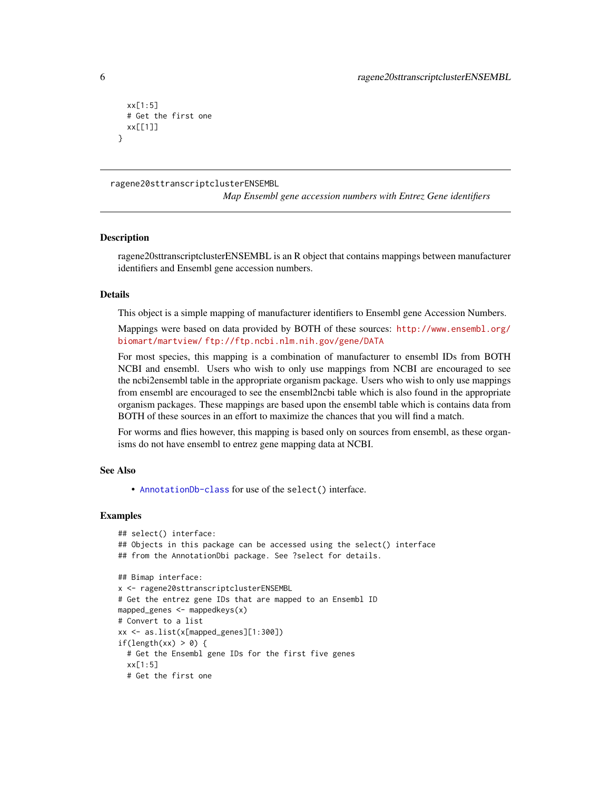```
xx[1:5]
 # Get the first one
 xx[[1]]
}
```
ragene20sttranscriptclusterENSEMBL

*Map Ensembl gene accession numbers with Entrez Gene identifiers*

#### **Description**

ragene20sttranscriptclusterENSEMBL is an R object that contains mappings between manufacturer identifiers and Ensembl gene accession numbers.

#### Details

This object is a simple mapping of manufacturer identifiers to Ensembl gene Accession Numbers.

Mappings were based on data provided by BOTH of these sources: [http://www.ensembl.org/](http://www.ensembl.org/biomart/martview/) [biomart/martview/](http://www.ensembl.org/biomart/martview/) <ftp://ftp.ncbi.nlm.nih.gov/gene/DATA>

For most species, this mapping is a combination of manufacturer to ensembl IDs from BOTH NCBI and ensembl. Users who wish to only use mappings from NCBI are encouraged to see the ncbi2ensembl table in the appropriate organism package. Users who wish to only use mappings from ensembl are encouraged to see the ensembl2ncbi table which is also found in the appropriate organism packages. These mappings are based upon the ensembl table which is contains data from BOTH of these sources in an effort to maximize the chances that you will find a match.

For worms and flies however, this mapping is based only on sources from ensembl, as these organisms do not have ensembl to entrez gene mapping data at NCBI.

#### See Also

• [AnnotationDb-class](#page-0-0) for use of the select() interface.

```
## select() interface:
## Objects in this package can be accessed using the select() interface
## from the AnnotationDbi package. See ?select for details.
## Bimap interface:
x <- ragene20sttranscriptclusterENSEMBL
# Get the entrez gene IDs that are mapped to an Ensembl ID
mapped_genes <- mappedkeys(x)
# Convert to a list
xx <- as.list(x[mapped_genes][1:300])
if(length(xx) > 0) {
 # Get the Ensembl gene IDs for the first five genes
 xx[1:5]
 # Get the first one
```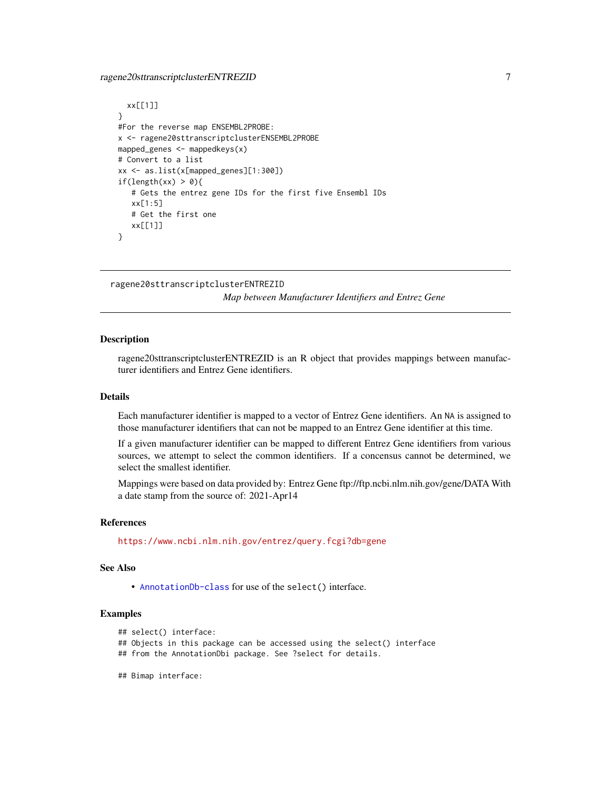## <span id="page-6-0"></span>ragene20sttranscriptclusterENTREZID 7

```
xx[[1]]
}
#For the reverse map ENSEMBL2PROBE:
x <- ragene20sttranscriptclusterENSEMBL2PROBE
mapped_genes <- mappedkeys(x)
# Convert to a list
xx <- as.list(x[mapped_genes][1:300])
if(length(xx) > 0){
   # Gets the entrez gene IDs for the first five Ensembl IDs
   xx[1:5]
   # Get the first one
   xx[[1]]
}
```

```
ragene20sttranscriptclusterENTREZID
```
*Map between Manufacturer Identifiers and Entrez Gene*

#### Description

ragene20sttranscriptclusterENTREZID is an R object that provides mappings between manufacturer identifiers and Entrez Gene identifiers.

## Details

Each manufacturer identifier is mapped to a vector of Entrez Gene identifiers. An NA is assigned to those manufacturer identifiers that can not be mapped to an Entrez Gene identifier at this time.

If a given manufacturer identifier can be mapped to different Entrez Gene identifiers from various sources, we attempt to select the common identifiers. If a concensus cannot be determined, we select the smallest identifier.

Mappings were based on data provided by: Entrez Gene ftp://ftp.ncbi.nlm.nih.gov/gene/DATA With a date stamp from the source of: 2021-Apr14

#### References

<https://www.ncbi.nlm.nih.gov/entrez/query.fcgi?db=gene>

#### See Also

• [AnnotationDb-class](#page-0-0) for use of the select() interface.

```
## select() interface:
```
- ## Objects in this package can be accessed using the select() interface
- ## from the AnnotationDbi package. See ?select for details.
- ## Bimap interface: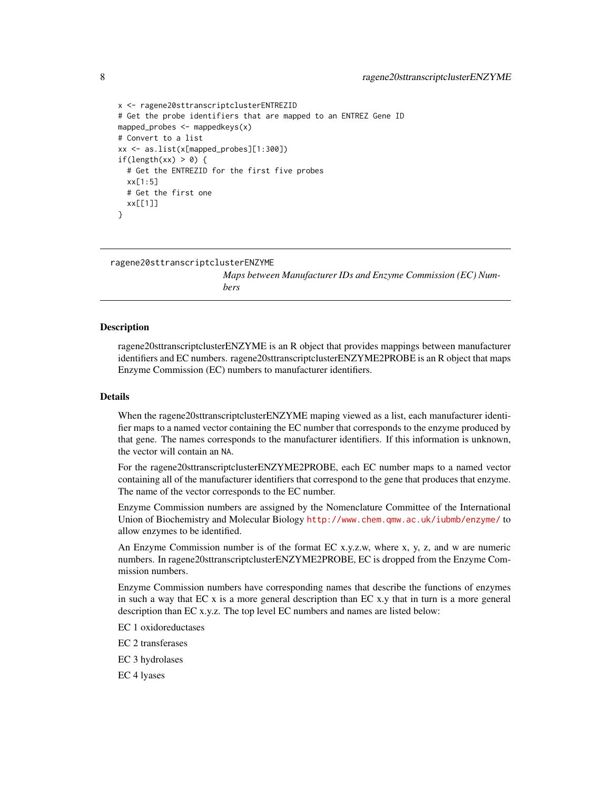```
x <- ragene20sttranscriptclusterENTREZID
# Get the probe identifiers that are mapped to an ENTREZ Gene ID
mapped_probes <- mappedkeys(x)
# Convert to a list
xx <- as.list(x[mapped_probes][1:300])
if(length(xx) > 0) {
 # Get the ENTREZID for the first five probes
 xx[1:5]
 # Get the first one
 xx[[1]]
}
```
ragene20sttranscriptclusterENZYME

*Maps between Manufacturer IDs and Enzyme Commission (EC) Numbers*

#### Description

ragene20sttranscriptclusterENZYME is an R object that provides mappings between manufacturer identifiers and EC numbers. ragene20sttranscriptclusterENZYME2PROBE is an R object that maps Enzyme Commission (EC) numbers to manufacturer identifiers.

#### Details

When the ragene20sttranscriptclusterENZYME maping viewed as a list, each manufacturer identifier maps to a named vector containing the EC number that corresponds to the enzyme produced by that gene. The names corresponds to the manufacturer identifiers. If this information is unknown, the vector will contain an NA.

For the ragene20sttranscriptclusterENZYME2PROBE, each EC number maps to a named vector containing all of the manufacturer identifiers that correspond to the gene that produces that enzyme. The name of the vector corresponds to the EC number.

Enzyme Commission numbers are assigned by the Nomenclature Committee of the International Union of Biochemistry and Molecular Biology <http://www.chem.qmw.ac.uk/iubmb/enzyme/> to allow enzymes to be identified.

An Enzyme Commission number is of the format EC x.y.z.w, where x, y, z, and w are numeric numbers. In ragene20sttranscriptclusterENZYME2PROBE, EC is dropped from the Enzyme Commission numbers.

Enzyme Commission numbers have corresponding names that describe the functions of enzymes in such a way that  $ECx$  is a more general description than  $ECx$ , y that in turn is a more general description than EC x.y.z. The top level EC numbers and names are listed below:

EC 1 oxidoreductases

EC 2 transferases

EC 3 hydrolases

EC 4 lyases

<span id="page-7-0"></span>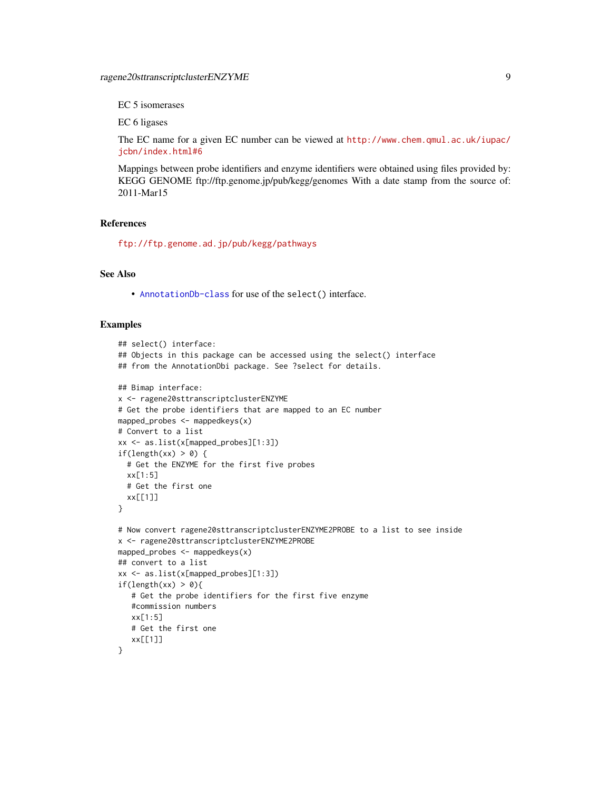EC 5 isomerases

EC 6 ligases

The EC name for a given EC number can be viewed at [http://www.chem.qmul.ac.uk/iupac/](http://www.chem.qmul.ac.uk/iupac/jcbn/index.html#6) [jcbn/index.html#6](http://www.chem.qmul.ac.uk/iupac/jcbn/index.html#6)

Mappings between probe identifiers and enzyme identifiers were obtained using files provided by: KEGG GENOME ftp://ftp.genome.jp/pub/kegg/genomes With a date stamp from the source of: 2011-Mar15

#### References

<ftp://ftp.genome.ad.jp/pub/kegg/pathways>

## See Also

• [AnnotationDb-class](#page-0-0) for use of the select() interface.

```
## select() interface:
## Objects in this package can be accessed using the select() interface
## from the AnnotationDbi package. See ?select for details.
## Bimap interface:
x <- ragene20sttranscriptclusterENZYME
# Get the probe identifiers that are mapped to an EC number
mapped_probes <- mappedkeys(x)
# Convert to a list
xx <- as.list(x[mapped_probes][1:3])
if(length(xx) > 0) {
  # Get the ENZYME for the first five probes
  xx[1:5]
  # Get the first one
  xx[[1]]
}
# Now convert ragene20sttranscriptclusterENZYME2PROBE to a list to see inside
x <- ragene20sttranscriptclusterENZYME2PROBE
mapped_probes <- mappedkeys(x)
## convert to a list
xx <- as.list(x[mapped_probes][1:3])
if(length(xx) > 0){
   # Get the probe identifiers for the first five enzyme
   #commission numbers
   xx[1:5]
   # Get the first one
   xx[[1]]
}
```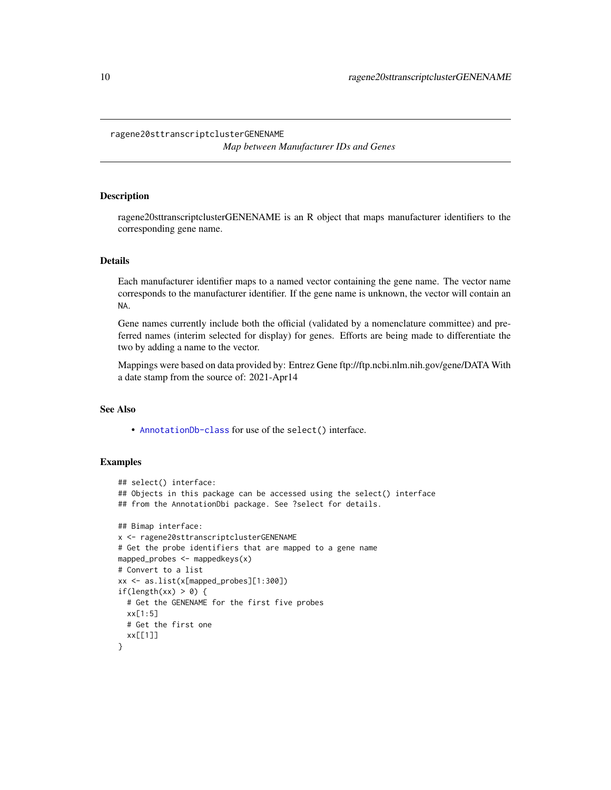#### <span id="page-9-0"></span>ragene20sttranscriptclusterGENENAME

*Map between Manufacturer IDs and Genes*

## Description

ragene20sttranscriptclusterGENENAME is an R object that maps manufacturer identifiers to the corresponding gene name.

#### Details

Each manufacturer identifier maps to a named vector containing the gene name. The vector name corresponds to the manufacturer identifier. If the gene name is unknown, the vector will contain an NA.

Gene names currently include both the official (validated by a nomenclature committee) and preferred names (interim selected for display) for genes. Efforts are being made to differentiate the two by adding a name to the vector.

Mappings were based on data provided by: Entrez Gene ftp://ftp.ncbi.nlm.nih.gov/gene/DATA With a date stamp from the source of: 2021-Apr14

## See Also

• [AnnotationDb-class](#page-0-0) for use of the select() interface.

```
## select() interface:
## Objects in this package can be accessed using the select() interface
## from the AnnotationDbi package. See ?select for details.
## Bimap interface:
x <- ragene20sttranscriptclusterGENENAME
# Get the probe identifiers that are mapped to a gene name
mapped_probes <- mappedkeys(x)
# Convert to a list
xx <- as.list(x[mapped_probes][1:300])
if(length(xx) > 0) {
  # Get the GENENAME for the first five probes
  xx[1:5]
  # Get the first one
  xx[[1]]
}
```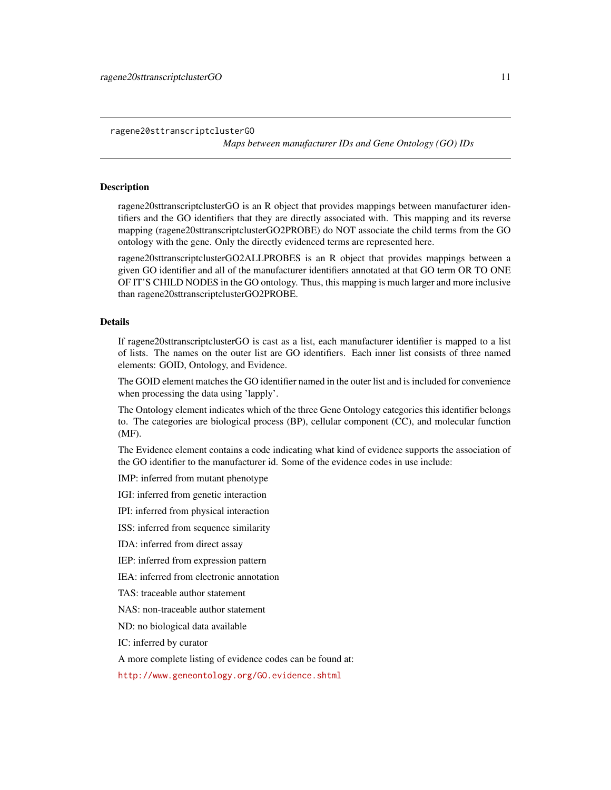<span id="page-10-1"></span>ragene20sttranscriptclusterGO

*Maps between manufacturer IDs and Gene Ontology (GO) IDs*

#### <span id="page-10-0"></span>Description

ragene20sttranscriptclusterGO is an R object that provides mappings between manufacturer identifiers and the GO identifiers that they are directly associated with. This mapping and its reverse mapping (ragene20sttranscriptclusterGO2PROBE) do NOT associate the child terms from the GO ontology with the gene. Only the directly evidenced terms are represented here.

ragene20sttranscriptclusterGO2ALLPROBES is an R object that provides mappings between a given GO identifier and all of the manufacturer identifiers annotated at that GO term OR TO ONE OF IT'S CHILD NODES in the GO ontology. Thus, this mapping is much larger and more inclusive than ragene20sttranscriptclusterGO2PROBE.

#### Details

If ragene20sttranscriptclusterGO is cast as a list, each manufacturer identifier is mapped to a list of lists. The names on the outer list are GO identifiers. Each inner list consists of three named elements: GOID, Ontology, and Evidence.

The GOID element matches the GO identifier named in the outer list and is included for convenience when processing the data using 'lapply'.

The Ontology element indicates which of the three Gene Ontology categories this identifier belongs to. The categories are biological process (BP), cellular component (CC), and molecular function (MF).

The Evidence element contains a code indicating what kind of evidence supports the association of the GO identifier to the manufacturer id. Some of the evidence codes in use include:

IMP: inferred from mutant phenotype

IGI: inferred from genetic interaction

IPI: inferred from physical interaction

ISS: inferred from sequence similarity

IDA: inferred from direct assay

IEP: inferred from expression pattern

IEA: inferred from electronic annotation

TAS: traceable author statement

NAS: non-traceable author statement

ND: no biological data available

IC: inferred by curator

A more complete listing of evidence codes can be found at:

<http://www.geneontology.org/GO.evidence.shtml>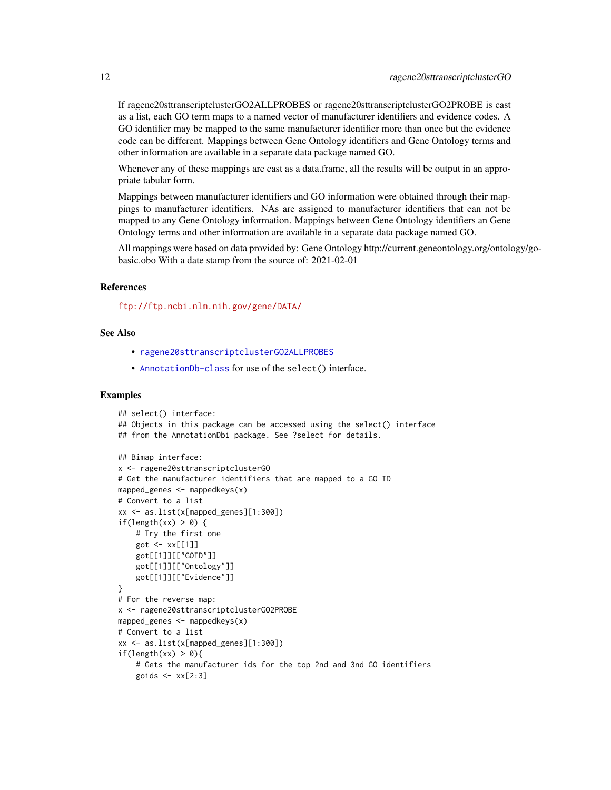<span id="page-11-0"></span>If ragene20sttranscriptclusterGO2ALLPROBES or ragene20sttranscriptclusterGO2PROBE is cast as a list, each GO term maps to a named vector of manufacturer identifiers and evidence codes. A GO identifier may be mapped to the same manufacturer identifier more than once but the evidence code can be different. Mappings between Gene Ontology identifiers and Gene Ontology terms and other information are available in a separate data package named GO.

Whenever any of these mappings are cast as a data.frame, all the results will be output in an appropriate tabular form.

Mappings between manufacturer identifiers and GO information were obtained through their mappings to manufacturer identifiers. NAs are assigned to manufacturer identifiers that can not be mapped to any Gene Ontology information. Mappings between Gene Ontology identifiers an Gene Ontology terms and other information are available in a separate data package named GO.

All mappings were based on data provided by: Gene Ontology http://current.geneontology.org/ontology/gobasic.obo With a date stamp from the source of: 2021-02-01

#### References

<ftp://ftp.ncbi.nlm.nih.gov/gene/DATA/>

#### See Also

- [ragene20sttranscriptclusterGO2ALLPROBES](#page-10-0)
- [AnnotationDb-class](#page-0-0) for use of the select() interface.

```
## select() interface:
## Objects in this package can be accessed using the select() interface
## from the AnnotationDbi package. See ?select for details.
## Bimap interface:
x <- ragene20sttranscriptclusterGO
# Get the manufacturer identifiers that are mapped to a GO ID
mapped_genes <- mappedkeys(x)
# Convert to a list
xx <- as.list(x[mapped_genes][1:300])
if(length(xx) > 0) {
    # Try the first one
    got \leftarrow xx[[1]]got[[1]][["GOID"]]
    got[[1]][["Ontology"]]
    got[[1]][["Evidence"]]
}
# For the reverse map:
x <- ragene20sttranscriptclusterGO2PROBE
mapped_genes <- mappedkeys(x)
# Convert to a list
xx <- as.list(x[mapped_genes][1:300])
if(length(xx) > 0){
    # Gets the manufacturer ids for the top 2nd and 3nd GO identifiers
    goids \leq -x \times [2:3]
```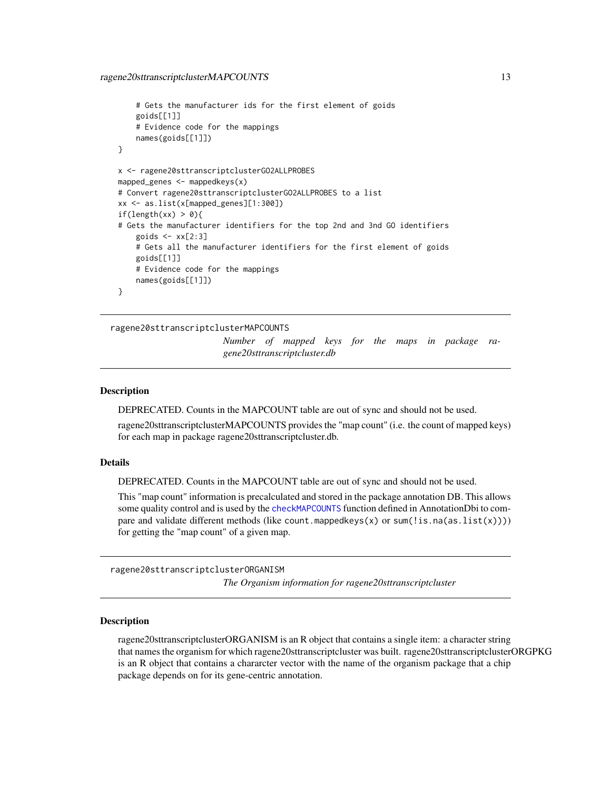```
# Gets the manufacturer ids for the first element of goids
    goids[[1]]
    # Evidence code for the mappings
   names(goids[[1]])
}
x <- ragene20sttranscriptclusterGO2ALLPROBES
mapped_genes <- mappedkeys(x)
# Convert ragene20sttranscriptclusterGO2ALLPROBES to a list
xx <- as.list(x[mapped_genes][1:300])
if(length(xx) > 0){
# Gets the manufacturer identifiers for the top 2nd and 3nd GO identifiers
    goids \leq -x \times [2:3]# Gets all the manufacturer identifiers for the first element of goids
   goids[[1]]
    # Evidence code for the mappings
   names(goids[[1]])
}
```
ragene20sttranscriptclusterMAPCOUNTS

*Number of mapped keys for the maps in package ragene20sttranscriptcluster.db*

#### **Description**

DEPRECATED. Counts in the MAPCOUNT table are out of sync and should not be used.

ragene20sttranscriptclusterMAPCOUNTS provides the "map count" (i.e. the count of mapped keys) for each map in package ragene20sttranscriptcluster.db.

#### Details

DEPRECATED. Counts in the MAPCOUNT table are out of sync and should not be used.

This "map count" information is precalculated and stored in the package annotation DB. This allows some quality control and is used by the [checkMAPCOUNTS](#page-0-0) function defined in AnnotationDbi to compare and validate different methods (like count.mappedkeys $(x)$  or sum(!is.na(as.list(x)))) for getting the "map count" of a given map.

ragene20sttranscriptclusterORGANISM

*The Organism information for ragene20sttranscriptcluster*

#### Description

ragene20sttranscriptclusterORGANISM is an R object that contains a single item: a character string that names the organism for which ragene20sttranscriptcluster was built. ragene20sttranscriptclusterORGPKG is an R object that contains a chararcter vector with the name of the organism package that a chip package depends on for its gene-centric annotation.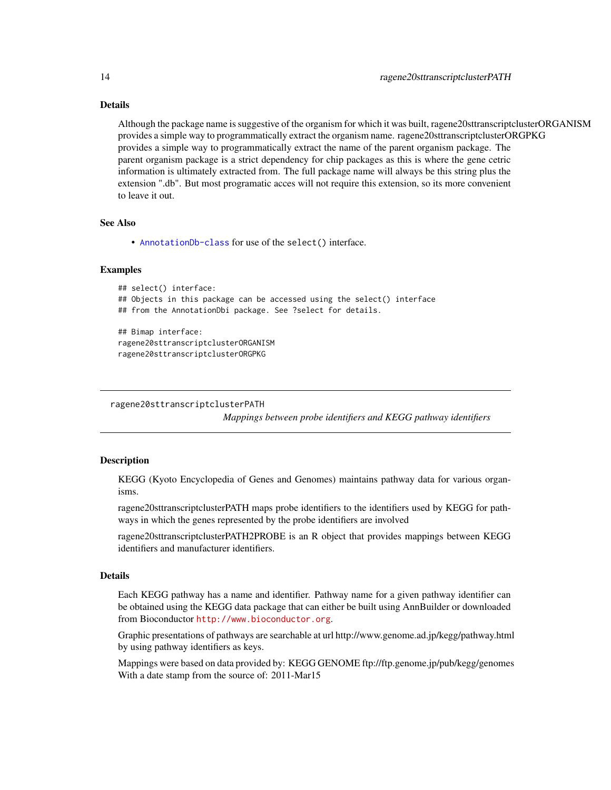## Details

Although the package name is suggestive of the organism for which it was built, ragene20sttranscriptclusterORGANISM provides a simple way to programmatically extract the organism name. ragene20sttranscriptclusterORGPKG provides a simple way to programmatically extract the name of the parent organism package. The parent organism package is a strict dependency for chip packages as this is where the gene cetric information is ultimately extracted from. The full package name will always be this string plus the extension ".db". But most programatic acces will not require this extension, so its more convenient to leave it out.

#### See Also

• [AnnotationDb-class](#page-0-0) for use of the select() interface.

#### Examples

```
## select() interface:
## Objects in this package can be accessed using the select() interface
## from the AnnotationDbi package. See ?select for details.
## Bimap interface:
ragene20sttranscriptclusterORGANISM
ragene20sttranscriptclusterORGPKG
```
ragene20sttranscriptclusterPATH

*Mappings between probe identifiers and KEGG pathway identifiers*

## Description

KEGG (Kyoto Encyclopedia of Genes and Genomes) maintains pathway data for various organisms.

ragene20sttranscriptclusterPATH maps probe identifiers to the identifiers used by KEGG for pathways in which the genes represented by the probe identifiers are involved

ragene20sttranscriptclusterPATH2PROBE is an R object that provides mappings between KEGG identifiers and manufacturer identifiers.

## Details

Each KEGG pathway has a name and identifier. Pathway name for a given pathway identifier can be obtained using the KEGG data package that can either be built using AnnBuilder or downloaded from Bioconductor <http://www.bioconductor.org>.

Graphic presentations of pathways are searchable at url http://www.genome.ad.jp/kegg/pathway.html by using pathway identifiers as keys.

Mappings were based on data provided by: KEGG GENOME ftp://ftp.genome.jp/pub/kegg/genomes With a date stamp from the source of: 2011-Mar15

<span id="page-13-0"></span>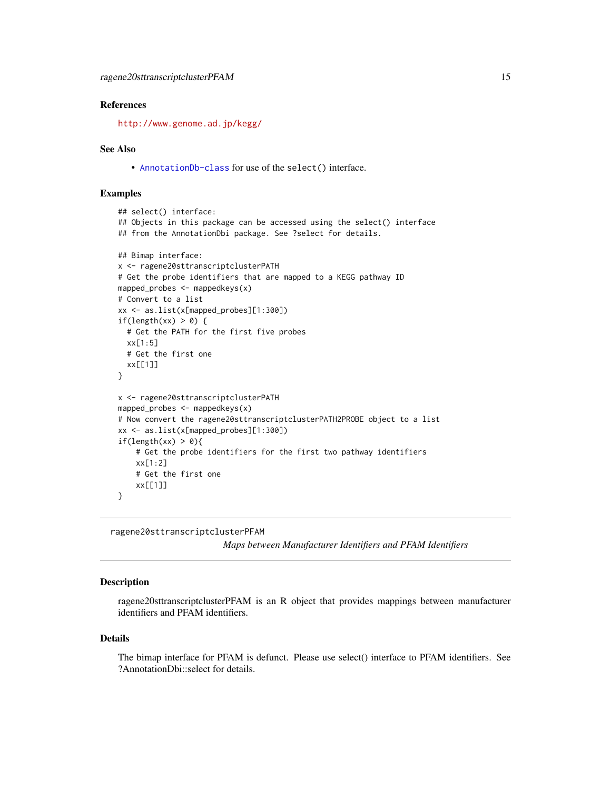## <span id="page-14-0"></span>References

<http://www.genome.ad.jp/kegg/>

#### See Also

• [AnnotationDb-class](#page-0-0) for use of the select() interface.

### Examples

```
## select() interface:
## Objects in this package can be accessed using the select() interface
## from the AnnotationDbi package. See ?select for details.
## Bimap interface:
x <- ragene20sttranscriptclusterPATH
# Get the probe identifiers that are mapped to a KEGG pathway ID
mapped_probes <- mappedkeys(x)
# Convert to a list
xx <- as.list(x[mapped_probes][1:300])
if(length(xx) > 0) {
  # Get the PATH for the first five probes
  xx[1:5]
  # Get the first one
  xx[[1]]
}
x <- ragene20sttranscriptclusterPATH
mapped_probes <- mappedkeys(x)
# Now convert the ragene20sttranscriptclusterPATH2PROBE object to a list
xx <- as.list(x[mapped_probes][1:300])
if(length(xx) > 0){
    # Get the probe identifiers for the first two pathway identifiers
    xx[1:2]
    # Get the first one
    xx[[1]]
}
```
ragene20sttranscriptclusterPFAM

*Maps between Manufacturer Identifiers and PFAM Identifiers*

#### **Description**

ragene20sttranscriptclusterPFAM is an R object that provides mappings between manufacturer identifiers and PFAM identifiers.

#### Details

The bimap interface for PFAM is defunct. Please use select() interface to PFAM identifiers. See ?AnnotationDbi::select for details.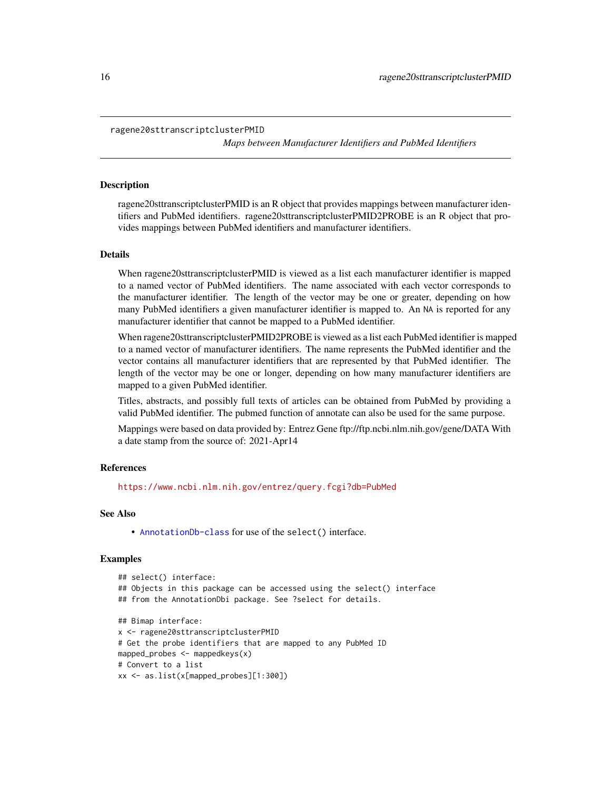```
ragene20sttranscriptclusterPMID
```
*Maps between Manufacturer Identifiers and PubMed Identifiers*

#### **Description**

ragene20sttranscriptclusterPMID is an R object that provides mappings between manufacturer identifiers and PubMed identifiers. ragene20sttranscriptclusterPMID2PROBE is an R object that provides mappings between PubMed identifiers and manufacturer identifiers.

#### Details

When ragene20sttranscriptclusterPMID is viewed as a list each manufacturer identifier is mapped to a named vector of PubMed identifiers. The name associated with each vector corresponds to the manufacturer identifier. The length of the vector may be one or greater, depending on how many PubMed identifiers a given manufacturer identifier is mapped to. An NA is reported for any manufacturer identifier that cannot be mapped to a PubMed identifier.

When ragene20sttranscriptclusterPMID2PROBE is viewed as a list each PubMed identifier is mapped to a named vector of manufacturer identifiers. The name represents the PubMed identifier and the vector contains all manufacturer identifiers that are represented by that PubMed identifier. The length of the vector may be one or longer, depending on how many manufacturer identifiers are mapped to a given PubMed identifier.

Titles, abstracts, and possibly full texts of articles can be obtained from PubMed by providing a valid PubMed identifier. The pubmed function of annotate can also be used for the same purpose.

Mappings were based on data provided by: Entrez Gene ftp://ftp.ncbi.nlm.nih.gov/gene/DATA With a date stamp from the source of: 2021-Apr14

#### References

<https://www.ncbi.nlm.nih.gov/entrez/query.fcgi?db=PubMed>

#### See Also

• [AnnotationDb-class](#page-0-0) for use of the select() interface.

```
## select() interface:
## Objects in this package can be accessed using the select() interface
## from the AnnotationDbi package. See ?select for details.
## Bimap interface:
x <- ragene20sttranscriptclusterPMID
# Get the probe identifiers that are mapped to any PubMed ID
mapped_probes <- mappedkeys(x)
# Convert to a list
xx <- as.list(x[mapped_probes][1:300])
```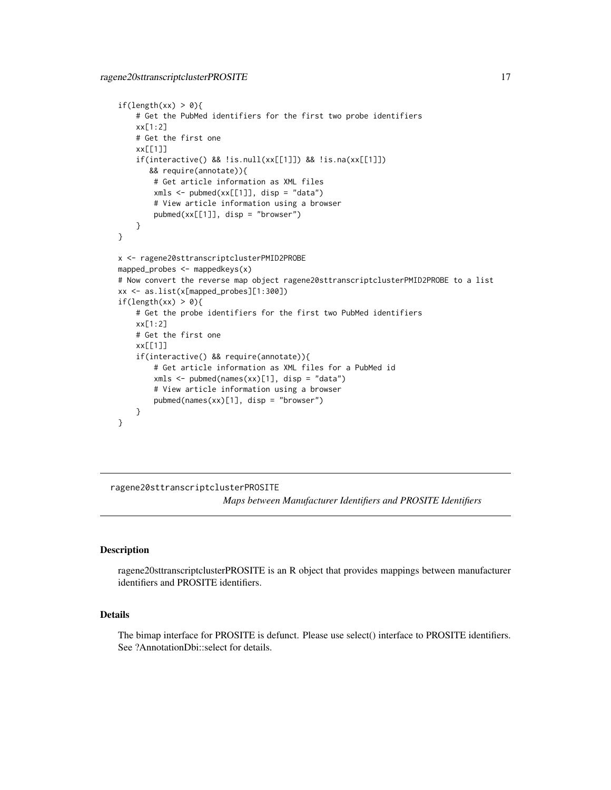```
if(length(xx) > 0){
    # Get the PubMed identifiers for the first two probe identifiers
   xx[1:2]
   # Get the first one
   xx[[1]]
    if(interactive() && !is.null(xx[[1]]) && !is.na(xx[[1]])
      && require(annotate)){
       # Get article information as XML files
       xmls < -pubmed(xx[[1]], disp = "data")# View article information using a browser
       pubmed(xx[[1]], disp = "browser")
    }
}
x <- ragene20sttranscriptclusterPMID2PROBE
mapped_probes <- mappedkeys(x)
# Now convert the reverse map object ragene20sttranscriptclusterPMID2PROBE to a list
xx <- as.list(x[mapped_probes][1:300])
if(length(xx) > 0){
    # Get the probe identifiers for the first two PubMed identifiers
   xx[1:2]
    # Get the first one
   xx[[1]]
    if(interactive() && require(annotate)){
       # Get article information as XML files for a PubMed id
       xmls <- pubmed(names(xx)[1], disp = "data")
       # View article information using a browser
       pubmed(names(xx)[1], disp = "browser")
   }
}
```
ragene20sttranscriptclusterPROSITE

*Maps between Manufacturer Identifiers and PROSITE Identifiers*

#### Description

ragene20sttranscriptclusterPROSITE is an R object that provides mappings between manufacturer identifiers and PROSITE identifiers.

## Details

The bimap interface for PROSITE is defunct. Please use select() interface to PROSITE identifiers. See ?AnnotationDbi::select for details.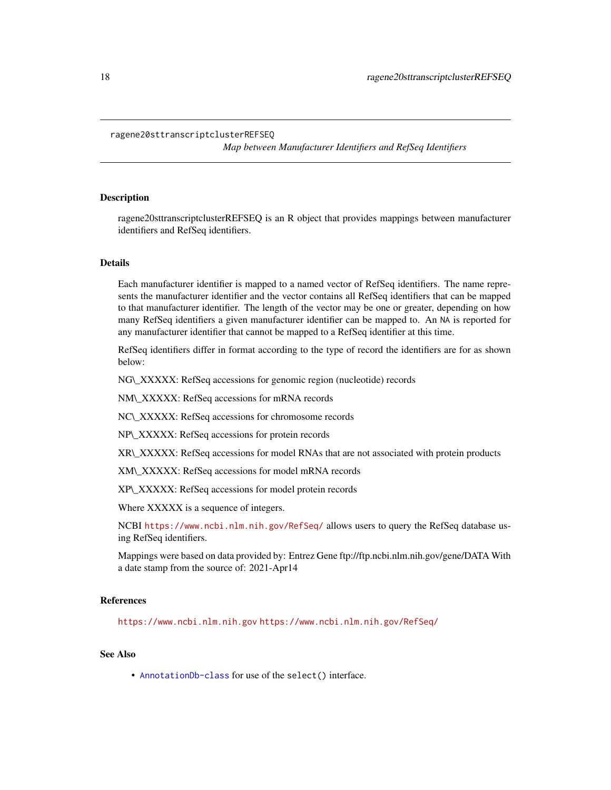#### <span id="page-17-0"></span>ragene20sttranscriptclusterREFSEQ

*Map between Manufacturer Identifiers and RefSeq Identifiers*

## Description

ragene20sttranscriptclusterREFSEQ is an R object that provides mappings between manufacturer identifiers and RefSeq identifiers.

## Details

Each manufacturer identifier is mapped to a named vector of RefSeq identifiers. The name represents the manufacturer identifier and the vector contains all RefSeq identifiers that can be mapped to that manufacturer identifier. The length of the vector may be one or greater, depending on how many RefSeq identifiers a given manufacturer identifier can be mapped to. An NA is reported for any manufacturer identifier that cannot be mapped to a RefSeq identifier at this time.

RefSeq identifiers differ in format according to the type of record the identifiers are for as shown below:

NG\\_XXXXX: RefSeq accessions for genomic region (nucleotide) records

NM\\_XXXXX: RefSeq accessions for mRNA records

NC\\_XXXXX: RefSeq accessions for chromosome records

NP\\_XXXXX: RefSeq accessions for protein records

XR\\_XXXXX: RefSeq accessions for model RNAs that are not associated with protein products

XM\\_XXXXX: RefSeq accessions for model mRNA records

XP\\_XXXXX: RefSeq accessions for model protein records

Where XXXXX is a sequence of integers.

NCBI <https://www.ncbi.nlm.nih.gov/RefSeq/> allows users to query the RefSeq database using RefSeq identifiers.

Mappings were based on data provided by: Entrez Gene ftp://ftp.ncbi.nlm.nih.gov/gene/DATA With a date stamp from the source of: 2021-Apr14

## References

<https://www.ncbi.nlm.nih.gov> <https://www.ncbi.nlm.nih.gov/RefSeq/>

## See Also

• [AnnotationDb-class](#page-0-0) for use of the select() interface.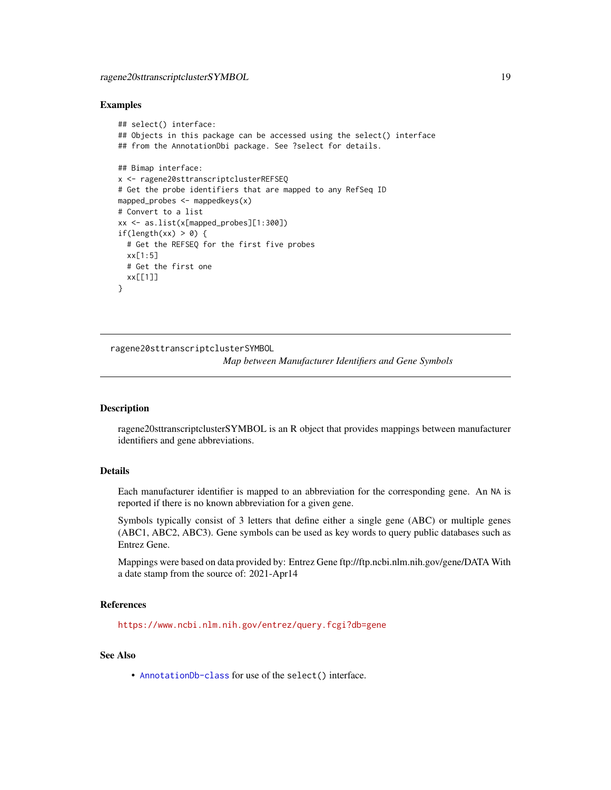#### <span id="page-18-0"></span>Examples

```
## select() interface:
## Objects in this package can be accessed using the select() interface
## from the AnnotationDbi package. See ?select for details.
## Bimap interface:
x <- ragene20sttranscriptclusterREFSEQ
# Get the probe identifiers that are mapped to any RefSeq ID
mapped_probes <- mappedkeys(x)
# Convert to a list
xx <- as.list(x[mapped_probes][1:300])
if(length(xx) > 0) {
  # Get the REFSEQ for the first five probes
  xx[1:5]
  # Get the first one
  xx[[1]]
}
```
ragene20sttranscriptclusterSYMBOL

*Map between Manufacturer Identifiers and Gene Symbols*

#### Description

ragene20sttranscriptclusterSYMBOL is an R object that provides mappings between manufacturer identifiers and gene abbreviations.

## Details

Each manufacturer identifier is mapped to an abbreviation for the corresponding gene. An NA is reported if there is no known abbreviation for a given gene.

Symbols typically consist of 3 letters that define either a single gene (ABC) or multiple genes (ABC1, ABC2, ABC3). Gene symbols can be used as key words to query public databases such as Entrez Gene.

Mappings were based on data provided by: Entrez Gene ftp://ftp.ncbi.nlm.nih.gov/gene/DATA With a date stamp from the source of: 2021-Apr14

## References

<https://www.ncbi.nlm.nih.gov/entrez/query.fcgi?db=gene>

#### See Also

• [AnnotationDb-class](#page-0-0) for use of the select() interface.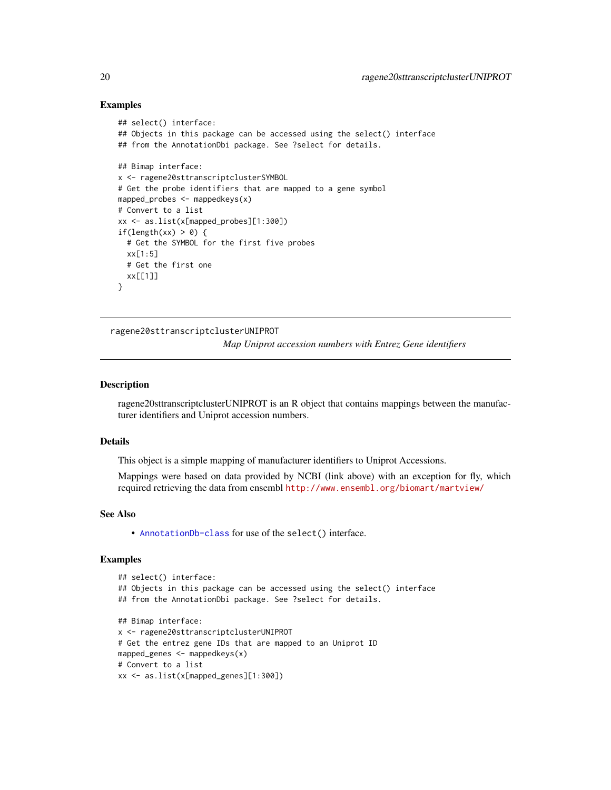#### Examples

```
## select() interface:
## Objects in this package can be accessed using the select() interface
## from the AnnotationDbi package. See ?select for details.
## Bimap interface:
x <- ragene20sttranscriptclusterSYMBOL
# Get the probe identifiers that are mapped to a gene symbol
mapped_probes <- mappedkeys(x)
# Convert to a list
xx <- as.list(x[mapped_probes][1:300])
if(length(xx) > 0) {
  # Get the SYMBOL for the first five probes
  xx[1:5]
  # Get the first one
  xx[[1]]
}
```
ragene20sttranscriptclusterUNIPROT

*Map Uniprot accession numbers with Entrez Gene identifiers*

## **Description**

ragene20sttranscriptclusterUNIPROT is an R object that contains mappings between the manufacturer identifiers and Uniprot accession numbers.

#### Details

This object is a simple mapping of manufacturer identifiers to Uniprot Accessions.

Mappings were based on data provided by NCBI (link above) with an exception for fly, which required retrieving the data from ensembl <http://www.ensembl.org/biomart/martview/>

#### See Also

• [AnnotationDb-class](#page-0-0) for use of the select() interface.

```
## select() interface:
## Objects in this package can be accessed using the select() interface
## from the AnnotationDbi package. See ?select for details.
## Bimap interface:
x <- ragene20sttranscriptclusterUNIPROT
# Get the entrez gene IDs that are mapped to an Uniprot ID
mapped_genes <- mappedkeys(x)
# Convert to a list
xx <- as.list(x[mapped_genes][1:300])
```
<span id="page-19-0"></span>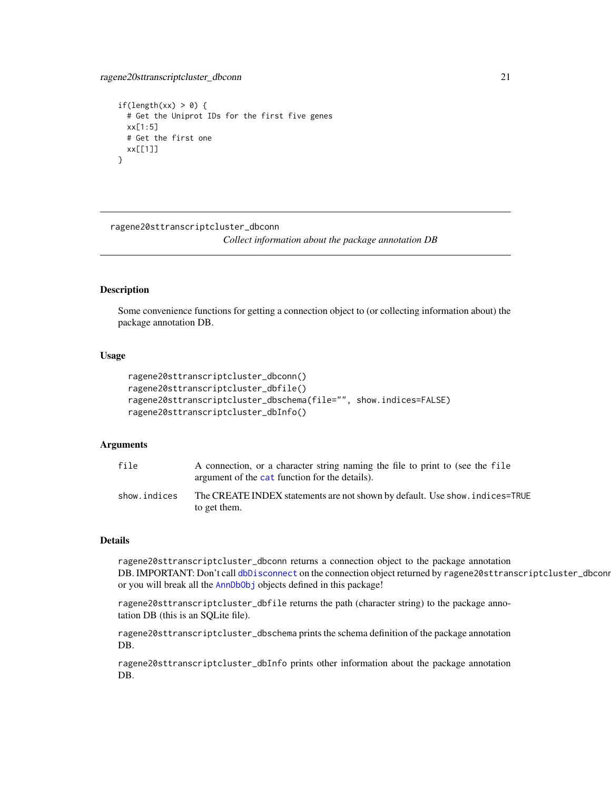```
if(length(xx) > 0) {
 # Get the Uniprot IDs for the first five genes
 xx[1:5]
 # Get the first one
 xx[[1]]
}
```
ragene20sttranscriptcluster\_dbconn

*Collect information about the package annotation DB*

## Description

Some convenience functions for getting a connection object to (or collecting information about) the package annotation DB.

#### Usage

```
ragene20sttranscriptcluster_dbconn()
ragene20sttranscriptcluster_dbfile()
ragene20sttranscriptcluster_dbschema(file="", show.indices=FALSE)
ragene20sttranscriptcluster_dbInfo()
```
## Arguments

| file         | A connection, or a character string naming the file to print to (see the file<br>argument of the cat function for the details). |
|--------------|---------------------------------------------------------------------------------------------------------------------------------|
| show.indices | The CREATE INDEX statements are not shown by default. Use show, indices=TRUE<br>to get them.                                    |

#### Details

ragene20sttranscriptcluster\_dbconn returns a connection object to the package annotation DB. IMPORTANT: Don't call [dbDisconnect](#page-0-0) on the connection object returned by ragene20sttranscriptcluster\_dbconn or you will break all the [AnnDbObj](#page-0-0) objects defined in this package!

ragene20sttranscriptcluster\_dbfile returns the path (character string) to the package annotation DB (this is an SQLite file).

ragene20sttranscriptcluster\_dbschema prints the schema definition of the package annotation DB.

ragene20sttranscriptcluster\_dbInfo prints other information about the package annotation DB.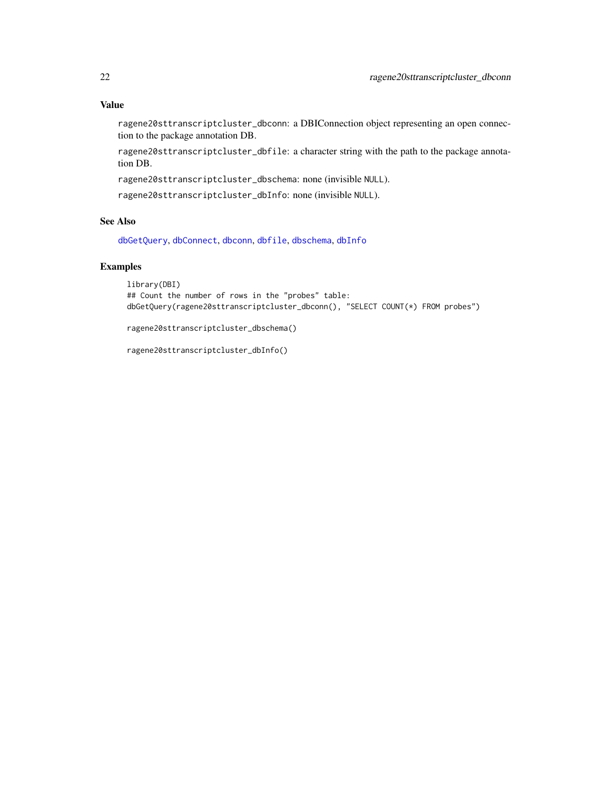## <span id="page-21-0"></span>Value

ragene20sttranscriptcluster\_dbconn: a DBIConnection object representing an open connection to the package annotation DB.

ragene20sttranscriptcluster\_dbfile: a character string with the path to the package annotation DB.

ragene20sttranscriptcluster\_dbschema: none (invisible NULL).

ragene20sttranscriptcluster\_dbInfo: none (invisible NULL).

## See Also

[dbGetQuery](#page-0-0), [dbConnect](#page-0-0), [dbconn](#page-0-0), [dbfile](#page-0-0), [dbschema](#page-0-0), [dbInfo](#page-0-0)

## Examples

```
library(DBI)
## Count the number of rows in the "probes" table:
dbGetQuery(ragene20sttranscriptcluster_dbconn(), "SELECT COUNT(*) FROM probes")
```
ragene20sttranscriptcluster\_dbschema()

ragene20sttranscriptcluster\_dbInfo()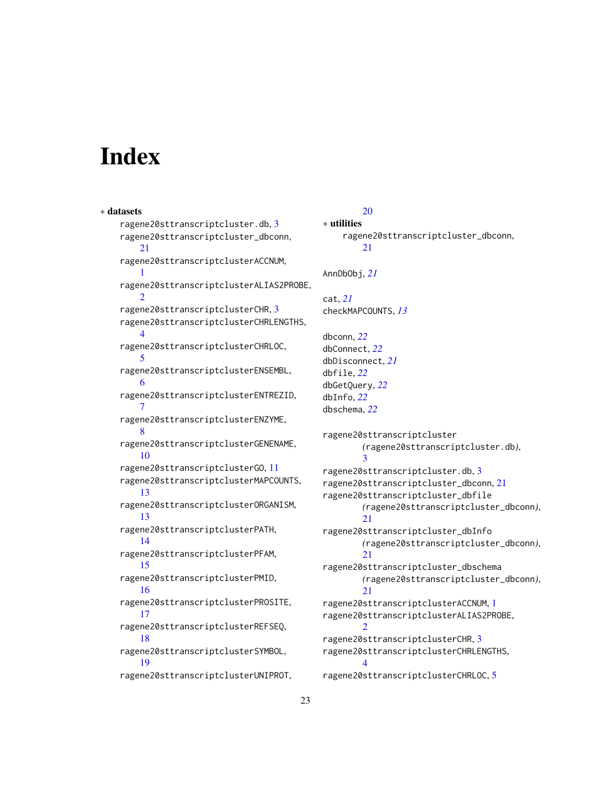# **Index**

∗ datasets ragene20sttranscriptcluster.db, [3](#page-2-0) ragene20sttranscriptcluster\_dbconn, [21](#page-20-0) ragene20sttranscriptclusterACCNUM, [1](#page-0-1) ragene20sttranscriptclusterALIAS2PROBE,  $\mathcal{D}$ ragene20sttranscriptclusterCHR, [3](#page-2-0) ragene20sttranscriptclusterCHRLENGTHS, [4](#page-3-0) ragene20sttranscriptclusterCHRLOC, [5](#page-4-0) ragene20sttranscriptclusterENSEMBL, [6](#page-5-0) ragene20sttranscriptclusterENTREZID, [7](#page-6-0) ragene20sttranscriptclusterENZYME, [8](#page-7-0) ragene20sttranscriptclusterGENENAME, [10](#page-9-0) ragene20sttranscriptclusterGO, [11](#page-10-1) ragene20sttranscriptclusterMAPCOUNTS, [13](#page-12-0) ragene20sttranscriptclusterORGANISM, [13](#page-12-0) ragene20sttranscriptclusterPATH, [14](#page-13-0) ragene20sttranscriptclusterPFAM, [15](#page-14-0) ragene20sttranscriptclusterPMID, [16](#page-15-0) ragene20sttranscriptclusterPROSITE, [17](#page-16-0) ragene20sttranscriptclusterREFSEQ, [18](#page-17-0) ragene20sttranscriptclusterSYMBOL, [19](#page-18-0) ragene20sttranscriptclusterUNIPROT,

#### [20](#page-19-0) ∗ utilities

```
ragene20sttranscriptcluster_dbconn,
        21
AnnDbObj, 21
cat, 21
checkMAPCOUNTS, 13
dbconn, 22
dbConnect, 22
dbDisconnect, 21
dbfile, 22
dbGetQuery, 22
dbInfo, 22
dbschema, 22
ragene20sttranscriptcluster
        (ragene20sttranscriptcluster.db),
        3
ragene20sttranscriptcluster.db, 3
ragene20sttranscriptcluster_dbconn, 21
ragene20sttranscriptcluster_dbfile
        (ragene20sttranscriptcluster_dbconn),
        21
ragene20sttranscriptcluster_dbInfo
        (ragene20sttranscriptcluster_dbconn),
        21
ragene20sttranscriptcluster_dbschema
        (ragene20sttranscriptcluster_dbconn),
        21ragene20sttranscriptclusterACCNUM, 1
ragene20sttranscriptclusterALIAS2PROBE,
        2
ragene20sttranscriptclusterCHR, 3
ragene20sttranscriptclusterCHRLENGTHS,
        4
```
ragene20sttranscriptclusterCHRLOC, [5](#page-4-0)